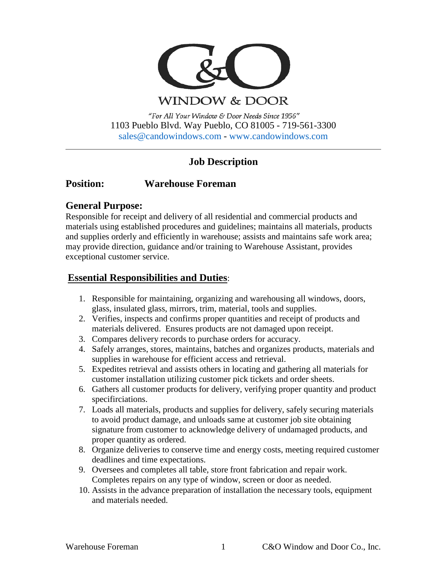

**WINDOW & DOOR** 

"For All Your Window & Door Needs Since 1956" 1103 Pueblo Blvd. Way Pueblo, CO 81005 - 719-561-3300 [sales@candowindows.com](mailto:sales@candowindows.com) - [www.candowindows.com](http://www.candowindows.com/)

# **Job Description**

# **Position: Warehouse Foreman**

### **General Purpose:**

Responsible for receipt and delivery of all residential and commercial products and materials using established procedures and guidelines; maintains all materials, products and supplies orderly and efficiently in warehouse; assists and maintains safe work area; may provide direction, guidance and/or training to Warehouse Assistant, provides exceptional customer service.

# **Essential Responsibilities and Duties**:

- 1. Responsible for maintaining, organizing and warehousing all windows, doors, glass, insulated glass, mirrors, trim, material, tools and supplies.
- 2. Verifies, inspects and confirms proper quantities and receipt of products and materials delivered. Ensures products are not damaged upon receipt.
- 3. Compares delivery records to purchase orders for accuracy.
- 4. Safely arranges, stores, maintains, batches and organizes products, materials and supplies in warehouse for efficient access and retrieval.
- 5. Expedites retrieval and assists others in locating and gathering all materials for customer installation utilizing customer pick tickets and order sheets.
- 6. Gathers all customer products for delivery, verifying proper quantity and product specifirciations.
- 7. Loads all materials, products and supplies for delivery, safely securing materials to avoid product damage, and unloads same at customer job site obtaining signature from customer to acknowledge delivery of undamaged products, and proper quantity as ordered.
- 8. Organize deliveries to conserve time and energy costs, meeting required customer deadlines and time expectations.
- 9. Oversees and completes all table, store front fabrication and repair work. Completes repairs on any type of window, screen or door as needed.
- 10. Assists in the advance preparation of installation the necessary tools, equipment and materials needed.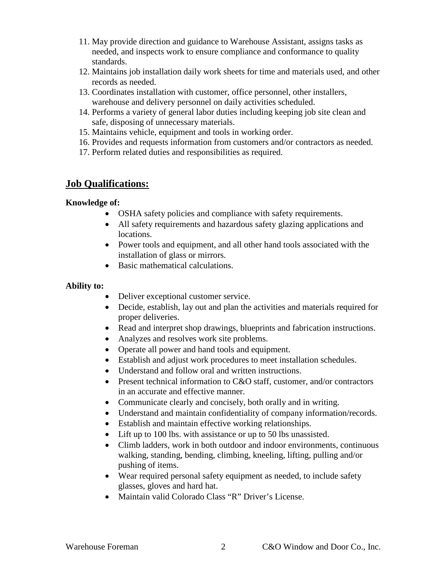- 11. May provide direction and guidance to Warehouse Assistant, assigns tasks as needed, and inspects work to ensure compliance and conformance to quality standards.
- 12. Maintains job installation daily work sheets for time and materials used, and other records as needed.
- 13. Coordinates installation with customer, office personnel, other installers, warehouse and delivery personnel on daily activities scheduled.
- 14. Performs a variety of general labor duties including keeping job site clean and safe, disposing of unnecessary materials.
- 15. Maintains vehicle, equipment and tools in working order.
- 16. Provides and requests information from customers and/or contractors as needed.
- 17. Perform related duties and responsibilities as required.

### **Job Qualifications:**

#### **Knowledge of:**

- OSHA safety policies and compliance with safety requirements.
- All safety requirements and hazardous safety glazing applications and locations.
- Power tools and equipment, and all other hand tools associated with the installation of glass or mirrors.
- Basic mathematical calculations.

### **Ability to:**

- Deliver exceptional customer service.
- Decide, establish, lay out and plan the activities and materials required for proper deliveries.
- Read and interpret shop drawings, blueprints and fabrication instructions.
- Analyzes and resolves work site problems.
- Operate all power and hand tools and equipment.
- Establish and adjust work procedures to meet installation schedules.
- Understand and follow oral and written instructions.
- Present technical information to C&O staff, customer, and/or contractors in an accurate and effective manner.
- Communicate clearly and concisely, both orally and in writing.
- Understand and maintain confidentiality of company information/records.
- Establish and maintain effective working relationships.
- Lift up to 100 lbs. with assistance or up to 50 lbs unassisted.
- Climb ladders, work in both outdoor and indoor environments, continuous walking, standing, bending, climbing, kneeling, lifting, pulling and/or pushing of items.
- Wear required personal safety equipment as needed, to include safety glasses, gloves and hard hat.
- Maintain valid Colorado Class "R" Driver's License.